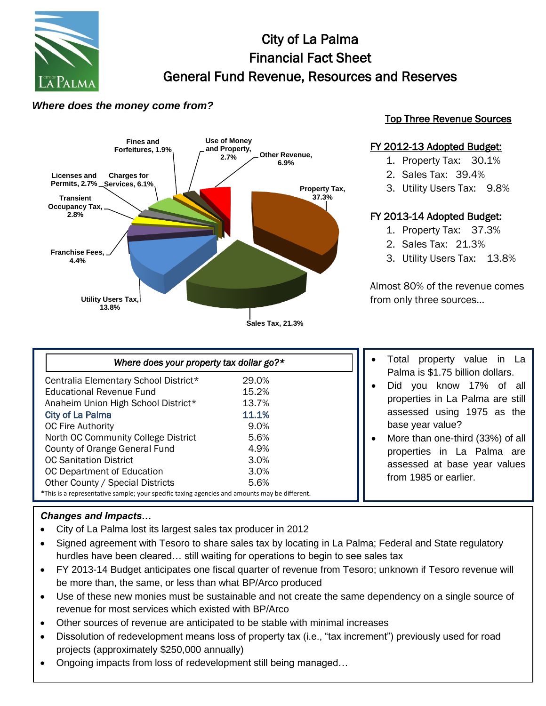

# City of La Palma Financial Fact Sheet General Fund Revenue, Resources and Reserves

## *Where does the money come from?*



### Top Three Revenue Sources

#### FY 2012-13 Adopted Budget:

- 1. Property Tax: 30.1%
- 2. Sales Tax: 39.4%
- 3. Utility Users Tax: 9.8%

### FY 2013-14 Adopted Budget:

- 1. Property Tax: 37.3%
- 2. Sales Tax: 21.3%
- 3. Utility Users Tax: 13.8%

Almost 80% of the revenue comes from only three sources…

| Where does your property tax dollar go? $\star$                                               |       |  |
|-----------------------------------------------------------------------------------------------|-------|--|
| Centralia Elementary School District*                                                         | 29.0% |  |
| <b>Educational Revenue Fund</b>                                                               | 15.2% |  |
| Anaheim Union High School District*                                                           | 13.7% |  |
| <b>City of La Palma</b>                                                                       | 11.1% |  |
| <b>OC Fire Authority</b>                                                                      | 9.0%  |  |
| North OC Community College District                                                           | 5.6%  |  |
| County of Orange General Fund                                                                 | 4.9%  |  |
| <b>OC Sanitation District</b>                                                                 | 3.0%  |  |
| OC Department of Education                                                                    | 3.0%  |  |
| Other County / Special Districts                                                              | 5.6%  |  |
| *This is a representative sample; your specific taxing agencies and amounts may be different. |       |  |

- Total property value in La Palma is \$1.75 billion dollars.
- Did you know 17% of all properties in La Palma are still assessed using 1975 as the base year value?
- More than one-third (33%) of all properties in La Palma are assessed at base year values from 1985 or earlier.

#### *Changes and Impacts…*

- City of La Palma lost its largest sales tax producer in 2012
- Signed agreement with Tesoro to share sales tax by locating in La Palma; Federal and State regulatory hurdles have been cleared… still waiting for operations to begin to see sales tax
- FY 2013-14 Budget anticipates one fiscal quarter of revenue from Tesoro; unknown if Tesoro revenue will be more than, the same, or less than what BP/Arco produced
- Use of these new monies must be sustainable and not create the same dependency on a single source of revenue for most services which existed with BP/Arco
- Other sources of revenue are anticipated to be stable with minimal increases
- Dissolution of redevelopment means loss of property tax (i.e., "tax increment") previously used for road<br>proiects (approximately \$250.000 annually) projects (approximately \$250,000 annually)
- Ongoing impacts from loss of redevelopment still being managed...